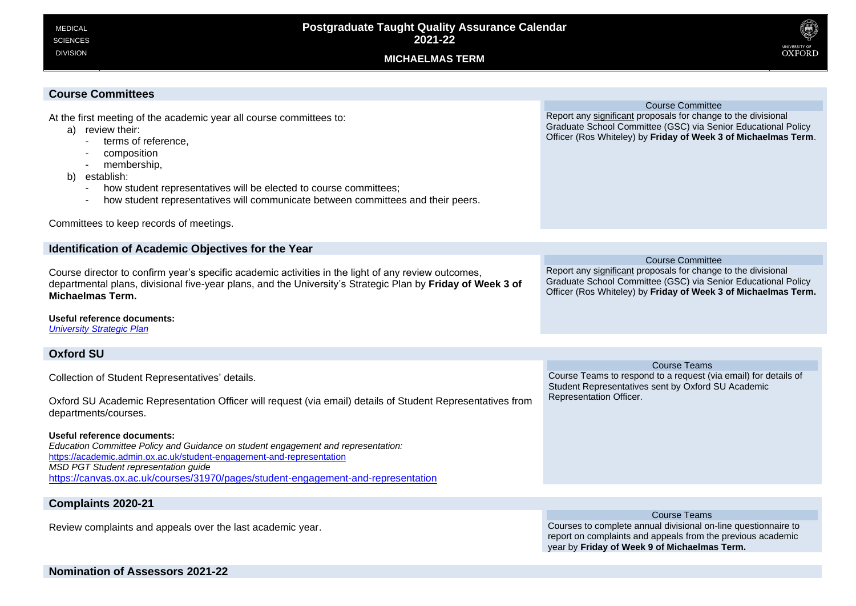# **MICHAELMAS TERM**



| <b>Course Committees</b>                                                                                                                                                                                                                                                                                                                                             |                                                                                                                                                                                                                             |
|----------------------------------------------------------------------------------------------------------------------------------------------------------------------------------------------------------------------------------------------------------------------------------------------------------------------------------------------------------------------|-----------------------------------------------------------------------------------------------------------------------------------------------------------------------------------------------------------------------------|
| At the first meeting of the academic year all course committees to:<br>a) review their:<br>terms of reference,<br>composition<br>membership,<br>establish:<br>b)<br>how student representatives will be elected to course committees;<br>how student representatives will communicate between committees and their peers.<br>Committees to keep records of meetings. | <b>Course Committee</b><br>Report any significant proposals for change to the divisional<br>Graduate School Committee (GSC) via Senior Educational Policy<br>Officer (Ros Whiteley) by Friday of Week 3 of Michaelmas Term. |
|                                                                                                                                                                                                                                                                                                                                                                      |                                                                                                                                                                                                                             |
| Identification of Academic Objectives for the Year                                                                                                                                                                                                                                                                                                                   | <b>Course Committee</b>                                                                                                                                                                                                     |
| Course director to confirm year's specific academic activities in the light of any review outcomes,<br>departmental plans, divisional five-year plans, and the University's Strategic Plan by Friday of Week 3 of<br>Michaelmas Term.                                                                                                                                | Report any significant proposals for change to the divisional<br>Graduate School Committee (GSC) via Senior Educational Policy<br>Officer (Ros Whiteley) by Friday of Week 3 of Michaelmas Term.                            |
| Useful reference documents:<br><b>University Strategic Plan</b>                                                                                                                                                                                                                                                                                                      |                                                                                                                                                                                                                             |
| <b>Oxford SU</b>                                                                                                                                                                                                                                                                                                                                                     |                                                                                                                                                                                                                             |
|                                                                                                                                                                                                                                                                                                                                                                      | <b>Course Teams</b>                                                                                                                                                                                                         |
| Collection of Student Representatives' details.<br>Oxford SU Academic Representation Officer will request (via email) details of Student Representatives from<br>departments/courses.                                                                                                                                                                                | Course Teams to respond to a request (via email) for details of<br>Student Representatives sent by Oxford SU Academic<br>Representation Officer.                                                                            |
|                                                                                                                                                                                                                                                                                                                                                                      |                                                                                                                                                                                                                             |
| Useful reference documents:<br>Education Committee Policy and Guidance on student engagement and representation:<br>https://academic.admin.ox.ac.uk/student-engagement-and-representation<br>MSD PGT Student representation guide<br>https://canvas.ox.ac.uk/courses/31970/pages/student-engagement-and-representation                                               |                                                                                                                                                                                                                             |
| <b>Complaints 2020-21</b>                                                                                                                                                                                                                                                                                                                                            |                                                                                                                                                                                                                             |

Review complaints and appeals over the last academic year.

Course Teams Courses to complete annual divisional on-line questionnaire to report on complaints and appeals from the previous academic year by **Friday of Week 9 of Michaelmas Term.**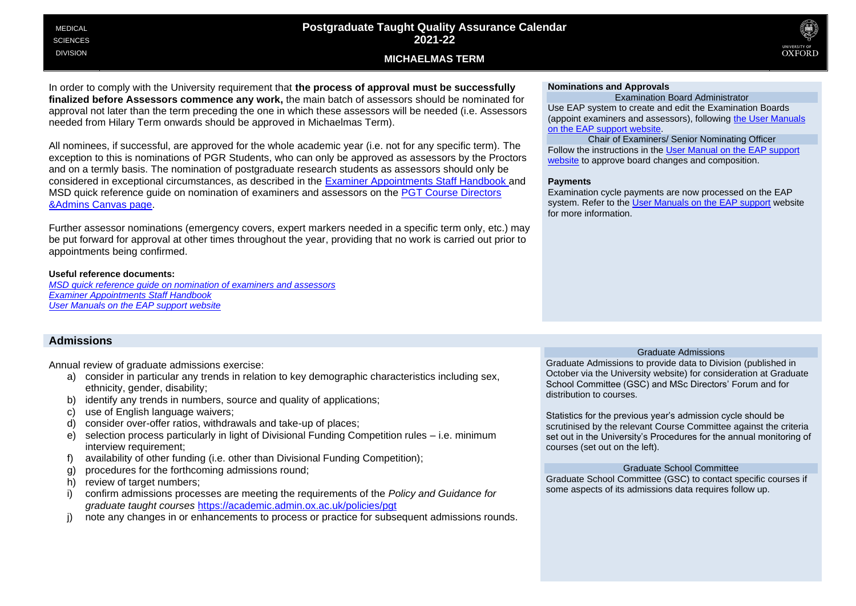#### MEDICAL **SCIENCES** DIVISION

# **Postgraduate Taught Quality Assurance Calendar 2021-22**





In order to comply with the University requirement that **the process of approval must be successfully finalized before Assessors commence any work,** the main batch of assessors should be nominated for approval not later than the term preceding the one in which these assessors will be needed (i.e. Assessors needed from Hilary Term onwards should be approved in Michaelmas Term).

All nominees, if successful, are approved for the whole academic year (i.e. not for any specific term). The exception to this is nominations of PGR Students, who can only be approved as assessors by the Proctors and on a termly basis. The nomination of postgraduate research students as assessors should only be considered in exceptional circumstances, as described in the [Examiner Appointments Staff Handbook](https://academic.admin.ox.ac.uk/examiner-appointments-and-payments) and MSD quick reference guide on nomination of examiners and assessors on the [PGT Course Directors](https://canvas.ox.ac.uk/courses/31970/pages/nomination-of-examiners-and-assessors?module_item_id=321826)  [&Admins Canvas page.](https://canvas.ox.ac.uk/courses/31970/pages/nomination-of-examiners-and-assessors?module_item_id=321826)

Further assessor nominations (emergency covers, expert markers needed in a specific term only, etc.) may be put forward for approval at other times throughout the year, providing that no work is carried out prior to appointments being confirmed.

### **Useful reference documents:**

*[MSD quick reference guide on nomination of examiners and assessors](https://canvas.ox.ac.uk/courses/31970/pages/nomination-of-examiners-and-assessors?module_item_id=321826) [Examiner Appointments Staff Handbook](https://academic.admin.ox.ac.uk/examiner-appointments-and-payments) [User Manuals on the EAP support website](https://academic.admin.ox.ac.uk/getting-help-with-eap#tab-1219126)*

## **Admissions**

Annual review of graduate admissions exercise:

- a) consider in particular any trends in relation to key demographic characteristics including sex, ethnicity, gender, disability;
- b) identify any trends in numbers, source and quality of applications;
- c) use of English language waivers;
- d) consider over-offer ratios, withdrawals and take-up of places;
- e) selection process particularly in light of Divisional Funding Competition rules i.e. minimum interview requirement;
- f) availability of other funding (i.e. other than Divisional Funding Competition);
- g) procedures for the forthcoming admissions round;
- h) review of target numbers;
- i) confirm admissions processes are meeting the requirements of the *Policy and Guidance for graduate taught courses* <https://academic.admin.ox.ac.uk/policies/pgt>
- note any changes in or enhancements to process or practice for subsequent admissions rounds.

### **Nominations and Approvals**

Examination Board Administrator Use EAP system to create and edit the Examination Boards (appoint examiners and assessors), following [the User](https://academic.admin.ox.ac.uk/getting-help-with-eap#tab-1219126) Manuals [on the EAP support website.](https://academic.admin.ox.ac.uk/getting-help-with-eap#tab-1219126)

Chair of Examiners/ Senior Nominating Officer Follow the instructions in the [User Manual on the EAP support](https://academic.admin.ox.ac.uk/getting-help-with-eap#tab-1219126) website to approve board changes and composition.

#### **Payments**

Examination cycle payments are now processed on the EAP system. Refer to the [User Manuals on the EAP support](https://academic.admin.ox.ac.uk/getting-help-with-eap#tab-1219126) website for more information.

### Graduate Admissions

Graduate Admissions to provide data to Division (published in October via the University website) for consideration at Graduate School Committee (GSC) and MSc Directors' Forum and for distribution to courses.

Statistics for the previous year's admission cycle should be scrutinised by the relevant Course Committee against the criteria set out in the University's Procedures for the annual monitoring of courses (set out on the left).

#### Graduate School Committee

Graduate School Committee (GSC) to contact specific courses if some aspects of its admissions data requires follow up.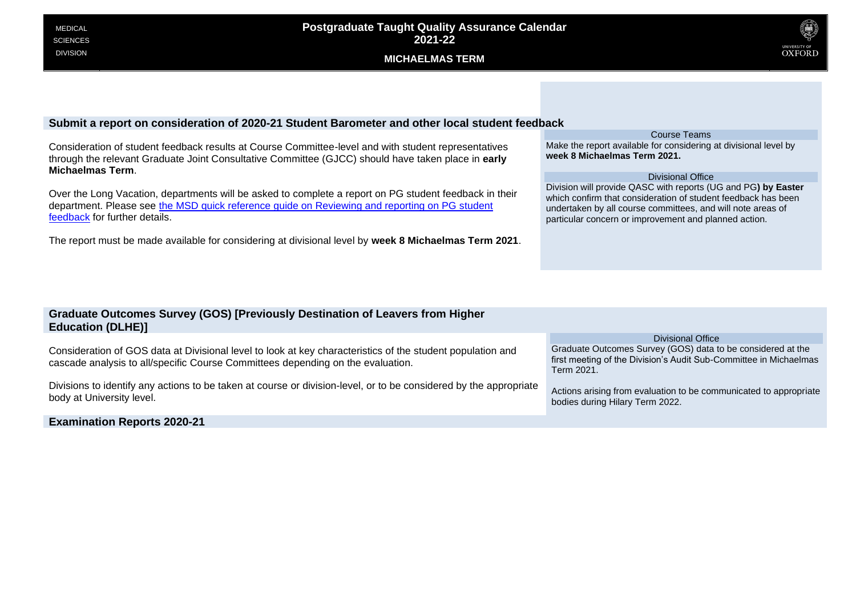

## **Submit a report on consideration of 2020-21 Student Barometer and other local student feedback**

Consideration of student feedback results at Course Committee-level and with student representatives through the relevant Graduate Joint Consultative Committee (GJCC) should have taken place in **early Michaelmas Term**.

Over the Long Vacation, departments will be asked to complete a report on PG student feedback in their department. Please see [the MSD quick reference guide on Reviewing and reporting on PG student](https://canvas.ox.ac.uk/courses/31970/pages/reviewing-and-reporting-on-student-feedback)  [feedback](https://canvas.ox.ac.uk/courses/31970/pages/reviewing-and-reporting-on-student-feedback) for further details.

The report must be made available for considering at divisional level by **week 8 Michaelmas Term 2021**.

#### Course Teams

Make the report available for considering at divisional level by **week 8 Michaelmas Term 2021.**

#### Divisional Office

Division will provide QASC with reports (UG and PG**) by Easter** which confirm that consideration of student feedback has been undertaken by all course committees, and will note areas of particular concern or improvement and planned action.

| <b>Graduate Outcomes Survey (GOS) [Previously Destination of Leavers from Higher</b><br><b>Education (DLHE)]</b>                                                                              |                                                                                                                                                |
|-----------------------------------------------------------------------------------------------------------------------------------------------------------------------------------------------|------------------------------------------------------------------------------------------------------------------------------------------------|
|                                                                                                                                                                                               | Divisional Office                                                                                                                              |
| Consideration of GOS data at Divisional level to look at key characteristics of the student population and<br>cascade analysis to all/specific Course Committees depending on the evaluation. | Graduate Outcomes Survey (GOS) data to be considered at the<br>first meeting of the Division's Audit Sub-Committee in Michaelmas<br>Term 2021. |
| Divisions to identify any actions to be taken at course or division-level, or to be considered by the appropriate<br>body at University level.                                                | Actions arising from evaluation to be communicated to appropriate<br>bodies during Hilary Term 2022.                                           |

**Examination Reports 2020-21**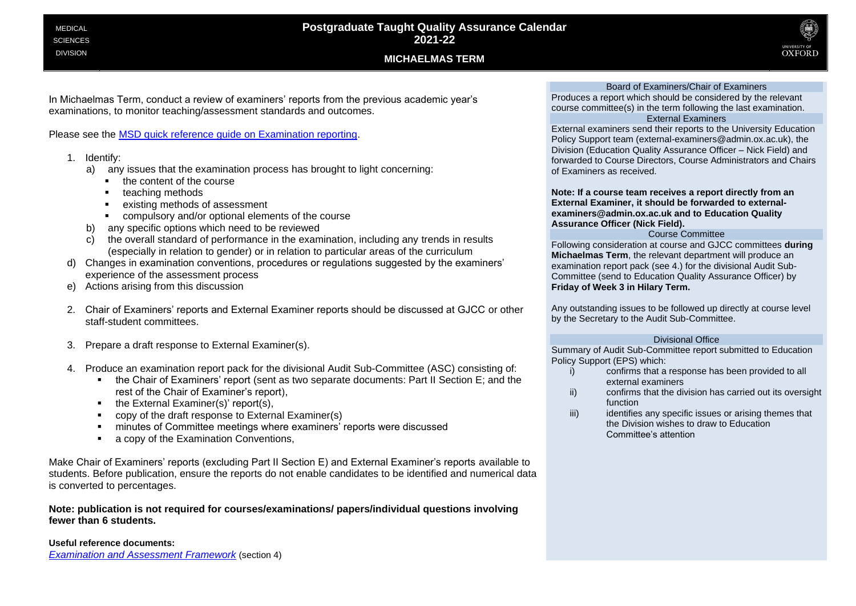**MICHAELMAS TERM**



In Michaelmas Term, conduct a review of examiners' reports from the previous academic year's examinations, to monitor teaching/assessment standards and outcomes.

Please see the [MSD quick reference guide on Examination reporting.](https://canvas.ox.ac.uk/courses/31970/pages/examination-reporting?module_item_id=321822)

- 1. Identify:
	- a) any issues that the examination process has brought to light concerning:
		- the content of the course
		- teaching methods
		- existing methods of assessment
		- compulsory and/or optional elements of the course
	- b) any specific options which need to be reviewed
	- c) the overall standard of performance in the examination, including any trends in results (especially in relation to gender) or in relation to particular areas of the curriculum
- d) Changes in examination conventions, procedures or regulations suggested by the examiners' experience of the assessment process
- e) Actions arising from this discussion
- 2. Chair of Examiners' reports and External Examiner reports should be discussed at GJCC or other staff-student committees.
- 3. Prepare a draft response to External Examiner(s).
- 4. Produce an examination report pack for the divisional Audit Sub-Committee (ASC) consisting of:
	- the Chair of Examiners' report (sent as two separate documents: Part II Section E; and the rest of the Chair of Examiner's report),
	- the External Examiner(s)' report(s),
	- copy of the draft response to External Examiner(s)
	- minutes of Committee meetings where examiners' reports were discussed
	- a copy of the Examination Conventions,

Make Chair of Examiners' reports (excluding Part II Section E) and External Examiner's reports available to students. Before publication, ensure the reports do not enable candidates to be identified and numerical data is converted to percentages.

**Note: publication is not required for courses/examinations/ papers/individual questions involving fewer than 6 students.** 

### **Useful reference documents:**

*[Examination and Assessment Framework](https://academic.admin.ox.ac.uk/files/examsandassessmentframework2019-20pdf)* (section 4)

#### Board of Examiners/Chair of Examiners

Produces a report which should be considered by the relevant course committee(s) in the term following the last examination. External Examiners

External examiners send their reports to the University Education Policy Support team (external-examiners@admin.ox.ac.uk), the Division (Education Quality Assurance Officer – Nick Field) and forwarded to Course Directors, Course Administrators and Chairs of Examiners as received.

**Note: If a course team receives a report directly from an External Examiner, it should be forwarded to externalexaminers@admin.ox.ac.uk and to Education Quality Assurance Officer (Nick Field).**

### Course Committee

Following consideration at course and GJCC committees **during Michaelmas Term**, the relevant department will produce an examination report pack (see 4.) for the divisional Audit Sub-Committee (send to Education Quality Assurance Officer) by **Friday of Week 3 in Hilary Term.** 

Any outstanding issues to be followed up directly at course level by the Secretary to the Audit Sub-Committee.

### Divisional Office

Summary of Audit Sub-Committee report submitted to Education Policy Support (EPS) which:

- i) confirms that a response has been provided to all external examiners
- ii) confirms that the division has carried out its oversight function
- iii) identifies any specific issues or arising themes that the Division wishes to draw to Education Committee's attention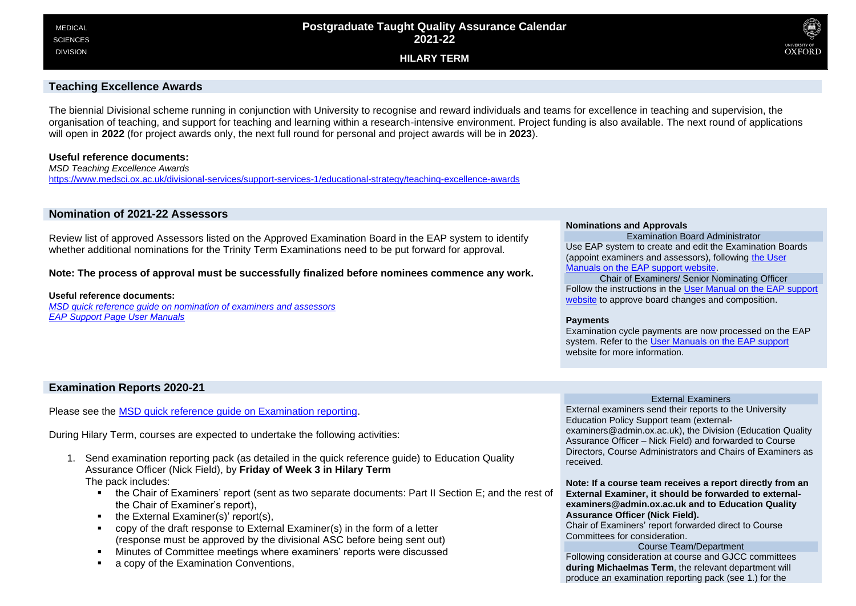**HILARY TERM**



### **Teaching Excellence Awards**

The biennial Divisional scheme running in conjunction with University to recognise and reward individuals and teams for excellence in teaching and supervision, the organisation of teaching, and support for teaching and learning within a research-intensive environment. Project funding is also available. The next round of applications will open in **2022** (for project awards only, the next full round for personal and project awards will be in **2023**).

### **Useful reference documents:**

*MSD Teaching Excellence Awards* https://www.medsci.ox.ac.uk/divisional-services/support-services-1/educational-strategy/teaching-excellence-awards

### **Nomination of 2021-22 Assessors**

Review list of approved Assessors listed on the Approved Examination Board in the EAP system to identify whether additional nominations for the Trinity Term Examinations need to be put forward for approval.

### **Note: The process of approval must be successfully finalized before nominees commence any work.**

#### **Useful reference documents:**

*MSD quick reference guide on nomination of examiners and assessors EAP Support Page User Manuals*

#### **Nominations and Approvals**

Examination Board Administrator Use EAP system to create and edit the Examination Boards (appoint examiners and assessors), following the User Manuals on the EAP support website.

Chair of Examiners/ Senior Nominating Officer Follow the instructions in the User Manual on the EAP support website to approve board changes and composition.

#### **Payments**

Examination cycle payments are now processed on the EAP system. Refer to the User Manuals on the EAP support website for more information

### **Examination Reports 2020-21**

Please see the MSD quick reference guide on Examination reporting.

During Hilary Term, courses are expected to undertake the following activities:

- 1. Send examination reporting pack (as detailed in the quick reference guide) to Education Quality Assurance Officer (Nick Field), by **Friday of Week 3 in Hilary Term** The pack includes:
	- the Chair of Examiners' report (sent as two separate documents: Part II Section E; and the rest of the Chair of Examiner's report),
	- the External Examiner(s)' report(s),
	- copy of the draft response to External Examiner(s) in the form of a letter (response must be approved by the divisional ASC before being sent out)
	- Minutes of Committee meetings where examiners' reports were discussed
	- a copy of the Examination Conventions,

#### External Examiners

External examiners send their reports to the University Education Policy Support team (externalexaminers@admin.ox.ac.uk), the Division (Education Quality Assurance Officer – Nick Field) and forwarded to Course Directors, Course Administrators and Chairs of Examiners as received.

**Note: If a course team receives a report directly from an External Examiner, it should be forwarded to externalexaminers@admin.ox.ac.uk and to Education Quality Assurance Officer (Nick Field).**

Chair of Examiners' report forwarded direct to Course Committees for consideration.

Course Team/Department Following consideration at course and GJCC committees **during Michaelmas Term**, the relevant department will produce an examination reporting pack (see 1.) for the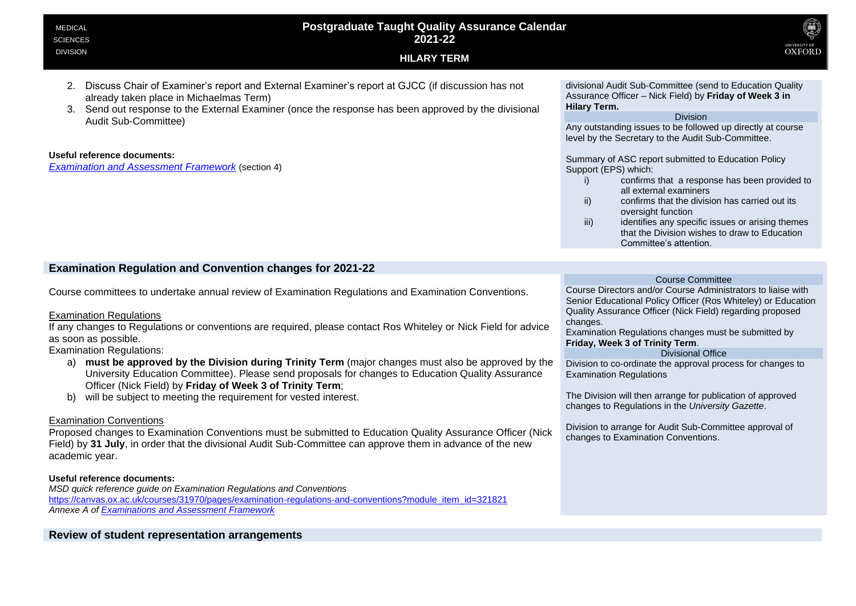| <b>Postgraduate Taught Quality Assurance Calendar</b><br><b>MEDICAL</b><br>2021-22<br><b>SCIENCES</b>                                                                                                                                                                          | Q<br>UNIVERSITY OF                                                                                                                                                        |
|--------------------------------------------------------------------------------------------------------------------------------------------------------------------------------------------------------------------------------------------------------------------------------|---------------------------------------------------------------------------------------------------------------------------------------------------------------------------|
| <b>DIVISION</b><br><b>HILARY TERM</b>                                                                                                                                                                                                                                          | <b>OXFORD</b>                                                                                                                                                             |
| Discuss Chair of Examiner's report and External Examiner's report at GJCC (if discussion has not<br>already taken place in Michaelmas Term)<br>Send out response to the External Examiner (once the response has been approved by the divisional<br>3.<br>Audit Sub-Committee) | divisional Audit Sub-Committee (send to Education Quality<br>Assurance Officer – Nick Field) by <b>Friday of Week 3 in</b><br>Hilary Term.<br><b>Division</b>             |
| Useful reference documents:                                                                                                                                                                                                                                                    | Any outstanding issues to be followed up directly at course<br>level by the Secretary to the Audit Sub-Committee.<br>Cummoni of ACC report outpoitted to Education Deliou |

*[Examination and Assessment Framework](https://academic.admin.ox.ac.uk/files/examsandassessmentframework2019-20pdf)* (section 4)

Summary of ASC report submitted to Education Policy Support (EPS) which:

- i) confirms that a response has been provided to all external examiners
- ii) confirms that the division has carried out its oversight function
- iii) iii) identifies any specific issues or arising themes that the Division wishes to draw to Education Committee's attention.

### **Examination Regulation and Convention changes for 2021-22**

Course committees to undertake annual review of Examination Regulations and Examination Conventions.

### Examination Regulations

If any changes to Regulations or conventions are required, please contact Ros Whiteley or Nick Field for advice as soon as possible.

### Examination Regulations:

- a) **must be approved by the Division during Trinity Term** (major changes must also be approved by the University Education Committee). Please send proposals for changes to Education Quality Assurance Officer (Nick Field) by **Friday of Week 3 of Trinity Term**;
- b) will be subject to meeting the requirement for vested interest.

### Examination Conventions

Proposed changes to Examination Conventions must be submitted to Education Quality Assurance Officer (Nick Field) by **31 July**, in order that the divisional Audit Sub-Committee can approve them in advance of the new academic year.

### **Useful reference documents:**

*MSD quick reference guide on Examination Regulations and Conventions* [https://canvas.ox.ac.uk/courses/31970/pages/examination-regulations-and-conventions?module\\_item\\_id=321821](https://canvas.ox.ac.uk/courses/31970/pages/examination-regulations-and-conventions?module_item_id=321821) *Annexe A o[f Examinations and Assessment Framework](https://academic.admin.ox.ac.uk/files/examsandassessmentframework2019-20pdf)*

### **Review of student representation arrangements**

### Course Committee

Course Directors and/or Course Administrators to liaise with Senior Educational Policy Officer (Ros Whiteley) or Education Quality Assurance Officer (Nick Field) regarding proposed changes.

Examination Regulations changes must be submitted by **Friday, Week 3 of Trinity Term**.

### Divisional Office

Division to co-ordinate the approval process for changes to Examination Regulations

The Division will then arrange for publication of approved changes to Regulations in the *University Gazette*.

Division to arrange for Audit Sub-Committee approval of changes to Examination Conventions.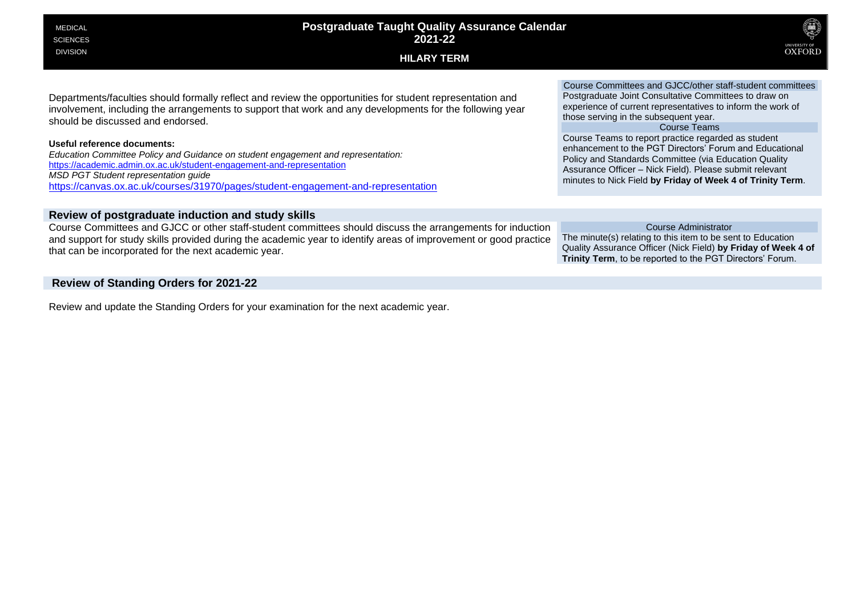# **Postgraduate Taught Quality Assurance Calendar 2021-22**

### **HILARY TERM**



Departments/faculties should formally reflect and review the opportunities for student representation and involvement, including the arrangements to support that work and any developments for the following year should be discussed and endorsed.

#### **Useful reference documents:**

*Education Committee Policy and Guidance on student engagement and representation:* <https://academic.admin.ox.ac.uk/student-engagement-and-representation> *MSD PGT Student representation guide* <https://canvas.ox.ac.uk/courses/31970/pages/student-engagement-and-representation>

### **Review of postgraduate induction and study skills**

Course Committees and GJCC or other staff-student committees should discuss the arrangements for induction and support for study skills provided during the academic year to identify areas of improvement or good practice that can be incorporated for the next academic year.

### **Review of Standing Orders for 2021-22**

Review and update the Standing Orders for your examination for the next academic year.

Course Committees and GJCC/other staff-student committees Postgraduate Joint Consultative Committees to draw on experience of current representatives to inform the work of those serving in the subsequent year.

#### Course Teams

Course Teams to report practice regarded as student enhancement to the PGT Directors' Forum and Educational Policy and Standards Committee (via Education Quality Assurance Officer – Nick Field). Please submit relevant minutes to Nick Field **by Friday of Week 4 of Trinity Term**.

#### Course Administrator

The minute(s) relating to this item to be sent to Education Quality Assurance Officer (Nick Field) **by Friday of Week 4 of Trinity Term**, to be reported to the PGT Directors' Forum.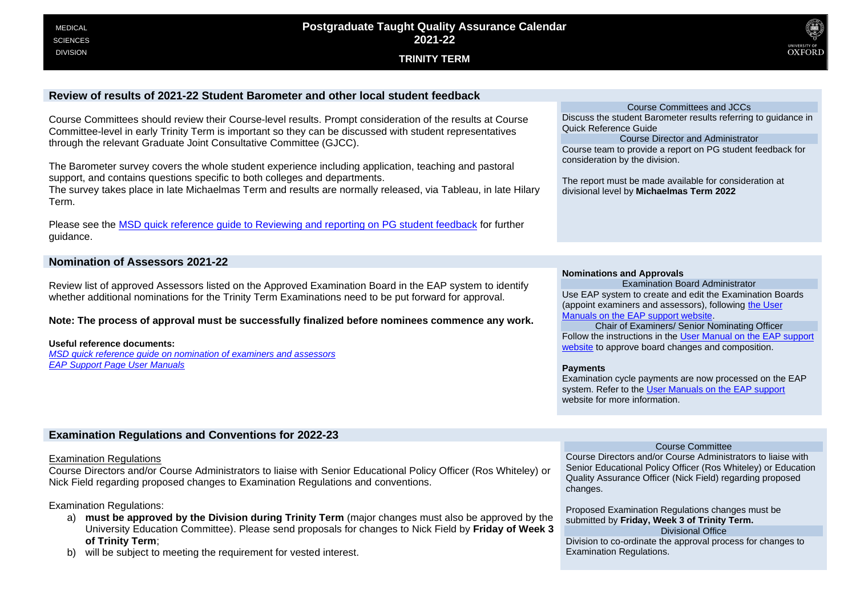**TRINITY TERM**



### **Review of results of 2021-22 Student Barometer and other local student feedback**

Course Committees should review their Course-level results. Prompt consideration of the results at Course Committee-level in early Trinity Term is important so they can be discussed with student representatives through the relevant Graduate Joint Consultative Committee (GJCC).

The Barometer survey covers the whole student experience including application, teaching and pastoral support, and contains questions specific to both colleges and departments.

The survey takes place in late Michaelmas Term and results are normally released, via Tableau, in late Hilary Term.

Please see the [MSD quick reference guide to Reviewing and reporting on PG student feedback](https://canvas.ox.ac.uk/courses/31970/pages/reviewing-and-reporting-on-student-feedback) for further guidance.

### **Nomination of Assessors 2021-22**

Review list of approved Assessors listed on the Approved Examination Board in the EAP system to identify whether additional nominations for the Trinity Term Examinations need to be put forward for approval.

### **Note: The process of approval must be successfully finalized before nominees commence any work.**

**Useful reference documents:** *[MSD quick reference guide on nomination of examiners and assessors](https://canvas.ox.ac.uk/courses/31970/pages/nomination-of-examiners-and-assessors?module_item_id=321826) [EAP Support Page User Manuals](https://academic.admin.ox.ac.uk/getting-help-with-eap#tab-1219126)*

Course Committees and JCCs Discuss the student Barometer results referring to guidance in Quick Reference Guide

Course Director and Administrator Course team to provide a report on PG student feedback for consideration by the division.

The report must be made available for consideration at divisional level by **Michaelmas Term 2022**

#### **Nominations and Approvals**

Examination Board Administrator Use EAP system to create and edit the Examination Boards (appoint examiners and assessors), following the User [Manuals on the EAP support website.](https://academic.admin.ox.ac.uk/getting-help-with-eap#tab-1219126)

Chair of Examiners/ Senior Nominating Officer Follow the instructions in the [User Manual on the EAP support](https://academic.admin.ox.ac.uk/getting-help-with-eap#tab-1219126) website to approve board changes and composition.

#### **Payments**

Examination cycle payments are now processed on the EAP system. Refer to the [User Manuals on the EAP support](https://academic.admin.ox.ac.uk/getting-help-with-eap#tab-1219126) website for more information.

#### **Examination Regulations and Conventions for 2022-23**

#### Examination Regulations

Course Directors and/or Course Administrators to liaise with Senior Educational Policy Officer (Ros Whiteley) or Nick Field regarding proposed changes to Examination Regulations and conventions.

### Examination Regulations:

- a) **must be approved by the Division during Trinity Term** (major changes must also be approved by the University Education Committee). Please send proposals for changes to Nick Field by **Friday of Week 3 of Trinity Term**;
- b) will be subject to meeting the requirement for vested interest.

Course Committee

Course Directors and/or Course Administrators to liaise with Senior Educational Policy Officer (Ros Whiteley) or Education Quality Assurance Officer (Nick Field) regarding proposed changes.

Proposed Examination Regulations changes must be submitted by **Friday, Week 3 of Trinity Term.**

Divisional Office

Division to co-ordinate the approval process for changes to Examination Regulations.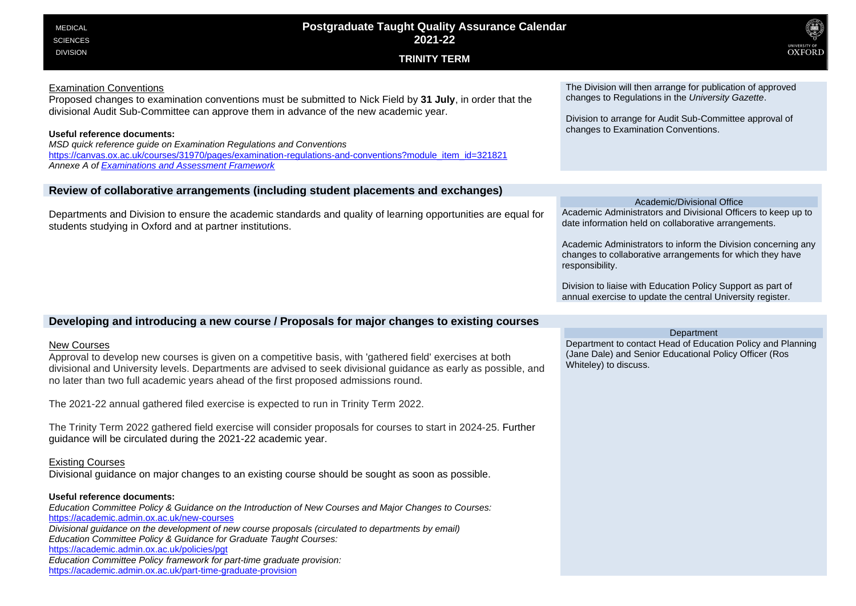| <b>Postgraduate Taught Quality Assurance Calendar</b><br><b>MEDICAL</b><br>2021-22<br><b>SCIENCES</b><br><b>DIVISION</b><br><b>TRINITY TERM</b>                                                                                                                                                                                                                                                                                                                                                                     | UNIVERSITY OF OXFORD                                                                                                                                                                                                                                                                                                                                                                                                              |
|---------------------------------------------------------------------------------------------------------------------------------------------------------------------------------------------------------------------------------------------------------------------------------------------------------------------------------------------------------------------------------------------------------------------------------------------------------------------------------------------------------------------|-----------------------------------------------------------------------------------------------------------------------------------------------------------------------------------------------------------------------------------------------------------------------------------------------------------------------------------------------------------------------------------------------------------------------------------|
| <b>Examination Conventions</b><br>Proposed changes to examination conventions must be submitted to Nick Field by 31 July, in order that the<br>divisional Audit Sub-Committee can approve them in advance of the new academic year.<br>Useful reference documents:<br>MSD quick reference guide on Examination Regulations and Conventions<br>https://canvas.ox.ac.uk/courses/31970/pages/examination-regulations-and-conventions?module_item_id=321821<br>Annexe A of <b>Examinations and Assessment Framework</b> | The Division will then arrange for publication of approved<br>changes to Regulations in the University Gazette.<br>Division to arrange for Audit Sub-Committee approval of<br>changes to Examination Conventions.                                                                                                                                                                                                                 |
| Review of collaborative arrangements (including student placements and exchanges)                                                                                                                                                                                                                                                                                                                                                                                                                                   |                                                                                                                                                                                                                                                                                                                                                                                                                                   |
| Departments and Division to ensure the academic standards and quality of learning opportunities are equal for<br>students studying in Oxford and at partner institutions.                                                                                                                                                                                                                                                                                                                                           | Academic/Divisional Office<br>Academic Administrators and Divisional Officers to keep up to<br>date information held on collaborative arrangements.<br>Academic Administrators to inform the Division concerning any<br>changes to collaborative arrangements for which they have<br>responsibility.<br>Division to liaise with Education Policy Support as part of<br>annual exercise to update the central University register. |
| Developing and introducing a new course / Proposals for major changes to existing courses                                                                                                                                                                                                                                                                                                                                                                                                                           |                                                                                                                                                                                                                                                                                                                                                                                                                                   |
| <b>New Courses</b><br>Approval to develop new courses is given on a competitive basis, with 'gathered field' exercises at both<br>divisional and University levels. Departments are advised to seek divisional guidance as early as possible, and<br>no later than two full academic years ahead of the first proposed admissions round.                                                                                                                                                                            | Department<br>Department to contact Head of Education Policy and Planning<br>(Jane Dale) and Senior Educational Policy Officer (Ros<br>Whiteley) to discuss.                                                                                                                                                                                                                                                                      |
| The 2021-22 annual gathered filed exercise is expected to run in Trinity Term 2022.                                                                                                                                                                                                                                                                                                                                                                                                                                 |                                                                                                                                                                                                                                                                                                                                                                                                                                   |
| The Trinity Term 2022 gathered field exercise will consider proposals for courses to start in 2024-25. Further<br>guidance will be circulated during the 2021-22 academic year.                                                                                                                                                                                                                                                                                                                                     |                                                                                                                                                                                                                                                                                                                                                                                                                                   |
| <b>Existing Courses</b><br>Divisional guidance on major changes to an existing course should be sought as soon as possible.                                                                                                                                                                                                                                                                                                                                                                                         |                                                                                                                                                                                                                                                                                                                                                                                                                                   |
| Useful reference documents:<br>Education Committee Policy & Guidance on the Introduction of New Courses and Major Changes to Courses:<br>https://academic.admin.ox.ac.uk/new-courses<br>Divisional guidance on the development of new course proposals (circulated to departments by email)<br>Education Committee Policy & Guidance for Graduate Taught Courses:                                                                                                                                                   |                                                                                                                                                                                                                                                                                                                                                                                                                                   |

<https://academic.admin.ox.ac.uk/policies/pgt>

*Education Committee Policy framework for part-time graduate provision:* 

<https://academic.admin.ox.ac.uk/part-time-graduate-provision>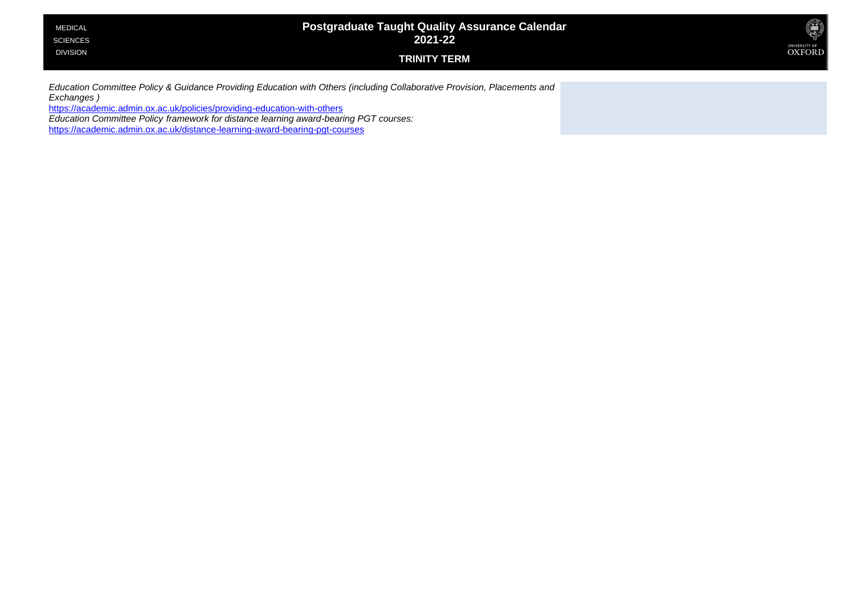| <b>MEDICAL</b>  | <b>Postgraduate Taught Quality Assurance Calendar</b> | ۵             |
|-----------------|-------------------------------------------------------|---------------|
| <b>SCIENCES</b> | 2021-22                                               | UNIVERSITY OF |
| <b>DIVISION</b> | <b>TRINITY TERM</b>                                   | <b>OXFORD</b> |

*Education Committee Policy & Guidance Providing Education with Others (including Collaborative Provision, Placements and Exchanges )*

<https://academic.admin.ox.ac.uk/policies/providing-education-with-others>

*Education Committee Policy framework for distance learning award-bearing PGT courses:* 

<https://academic.admin.ox.ac.uk/distance-learning-award-bearing-pgt-courses>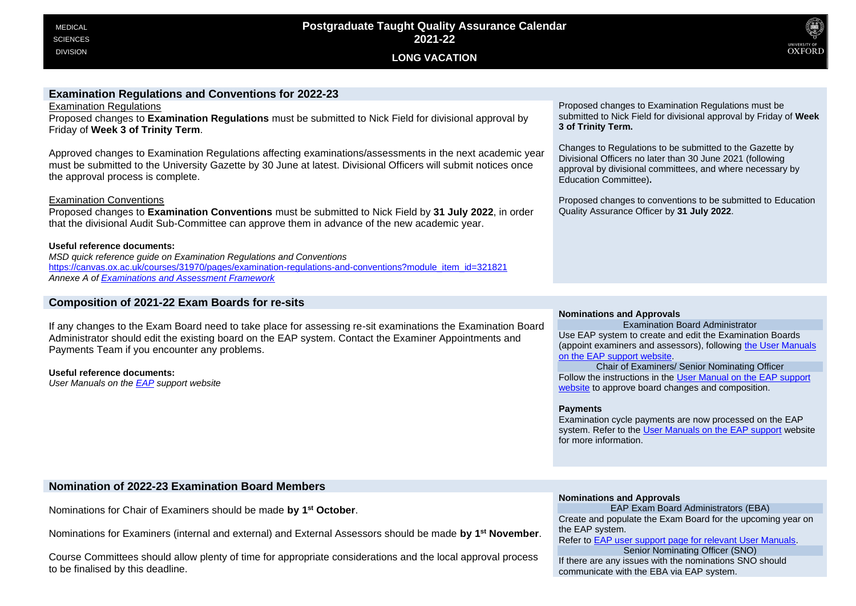

### **Examination Regulations and Conventions for 2022-23**

Examination Regulations

Proposed changes to **Examination Regulations** must be submitted to Nick Field for divisional approval by Friday of **Week 3 of Trinity Term**.

Approved changes to Examination Regulations affecting examinations/assessments in the next academic year must be submitted to the University Gazette by 30 June at latest. Divisional Officers will submit notices once the approval process is complete.

### Examination Conventions

Proposed changes to **Examination Conventions** must be submitted to Nick Field by **31 July 2022**, in order that the divisional Audit Sub-Committee can approve them in advance of the new academic year.

### **Useful reference documents:**

*MSD quick reference guide on Examination Regulations and Conventions* [https://canvas.ox.ac.uk/courses/31970/pages/examination-regulations-and-conventions?module\\_item\\_id=321821](https://canvas.ox.ac.uk/courses/31970/pages/examination-regulations-and-conventions?module_item_id=321821) *Annexe A o[f Examinations and Assessment Framework](https://academic.admin.ox.ac.uk/files/examsandassessmentframework2019-20pdf)*

### **Composition of 2021-22 Exam Boards for re-sits**

If any changes to the Exam Board need to take place for assessing re-sit examinations the Examination Board Administrator should edit the existing board on the EAP system. Contact the Examiner Appointments and Payments Team if you encounter any problems.

#### **Useful reference documents:**

*User Manuals on th[e EAP](https://academic.admin.ox.ac.uk/getting-help-with-eap#tab-1219126) support website*

Proposed changes to Examination Regulations must be submitted to Nick Field for divisional approval by Friday of **Week 3 of Trinity Term.**

Changes to Regulations to be submitted to the Gazette by Divisional Officers no later than 30 June 2021 (following approval by divisional committees, and where necessary by Education Committee)**.**

Proposed changes to conventions to be submitted to Education Quality Assurance Officer by **31 July 2022**.

### **Nominations and Approvals**

Examination Board Administrator Use EAP system to create and edit the Examination Boards (appoint examiners and assessors), following [the User Manuals](https://academic.admin.ox.ac.uk/getting-help-with-eap#tab-1219126)  [on the EAP support website.](https://academic.admin.ox.ac.uk/getting-help-with-eap#tab-1219126)

Chair of Examiners/ Senior Nominating Officer Follow the instructions in th[e User Manual on the EAP support](https://academic.admin.ox.ac.uk/getting-help-with-eap#tab-1219126) website to approve board changes and composition.

#### **Payments**

Examination cycle payments are now processed on the EAP system. Refer to th[e User Manuals on the EAP support](https://academic.admin.ox.ac.uk/getting-help-with-eap#tab-1219126) website for more information.

### **Nomination of 2022-23 Examination Board Members**

Nominations for Chair of Examiners should be made **by 1st October**.

Nominations for Examiners (internal and external) and External Assessors should be made **by 1st November**.

Course Committees should allow plenty of time for appropriate considerations and the local approval process to be finalised by this deadline.

#### **Nominations and Approvals**

EAP Exam Board Administrators (EBA) Create and populate the Exam Board for the upcoming year on the EAP system.

Refer to [EAP user support page for relevant User Manuals.](https://academic.admin.ox.ac.uk/getting-help-with-eap#tab-1219126)

Senior Nominating Officer (SNO) If there are any issues with the nominations SNO should communicate with the EBA via EAP system.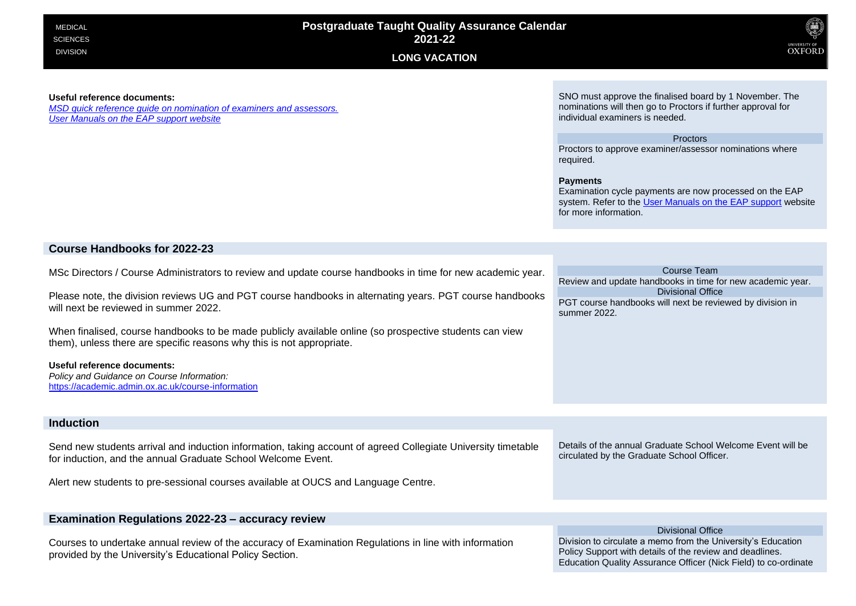



#### **Useful reference documents:**

*[MSD quick reference guide on nomination of examiners and assessors.](https://canvas.ox.ac.uk/courses/31970/pages/nomination-of-examiners-and-assessors?module_item_id=321826) [User Manuals on the EAP support website](https://academic.admin.ox.ac.uk/getting-help-with-eap#tab-1219126)*

SNO must approve the finalised board by 1 November. The nominations will then go to Proctors if further approval for individual examiners is needed.

#### Proctors

Proctors to approve examiner/assessor nominations where required.

#### **Payments**

Examination cycle payments are now processed on the EAP system. Refer to th[e User Manuals on the EAP support](https://academic.admin.ox.ac.uk/getting-help-with-eap#tab-1219126) website for more information.

### **Course Handbooks for 2022-23**

MSc Directors / Course Administrators to review and update course handbooks in time for new academic year.

Please note, the division reviews UG and PGT course handbooks in alternating years. PGT course handbooks will next be reviewed in summer 2022.

When finalised, course handbooks to be made publicly available online (so prospective students can view them), unless there are specific reasons why this is not appropriate.

#### **Useful reference documents:**

*Policy and Guidance on Course Information:* <https://academic.admin.ox.ac.uk/course-information>

### **Induction**

Send new students arrival and induction information, taking account of agreed Collegiate University timetable for induction, and the annual Graduate School Welcome Event.

Alert new students to pre-sessional courses available at OUCS and Language Centre.

### **Examination Regulations 2022-23 – accuracy review**

Courses to undertake annual review of the accuracy of Examination Regulations in line with information provided by the University's Educational Policy Section.

Course Team Review and update handbooks in time for new academic year. Divisional Office PGT course handbooks will next be reviewed by division in summer 2022.

Details of the annual Graduate School Welcome Event will be circulated by the Graduate School Officer.

Divisional Office

Division to circulate a memo from the University's Education Policy Support with details of the review and deadlines. Education Quality Assurance Officer (Nick Field) to co-ordinate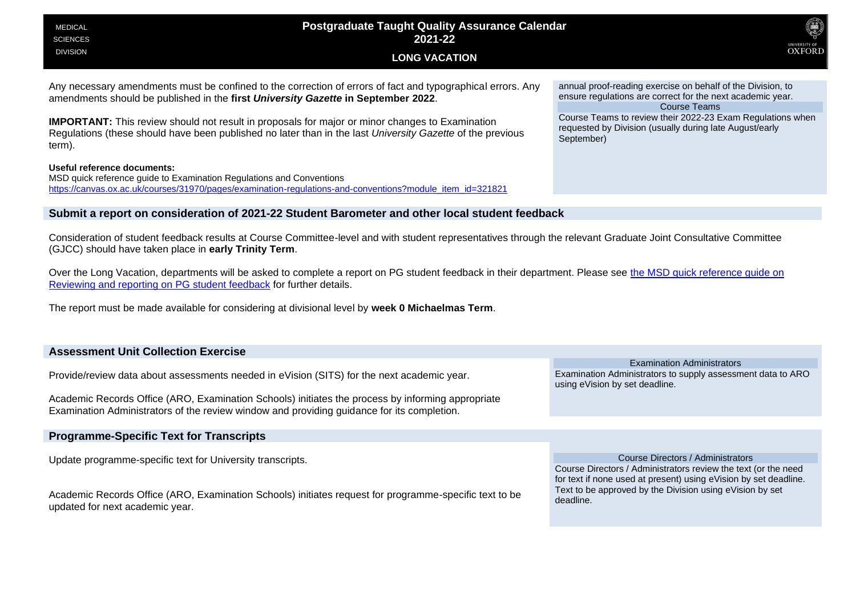| <b>Postgraduate Taught Quality Assurance Calendar</b><br><b>MEDICAL</b><br>2021-22<br><b>SCIENCES</b>                                                                                                                                                                                                                                                                                                                                                                                                                                     | <b>JNIVERSITY OF</b>                                                                                                                                                                                                                                                                    |
|-------------------------------------------------------------------------------------------------------------------------------------------------------------------------------------------------------------------------------------------------------------------------------------------------------------------------------------------------------------------------------------------------------------------------------------------------------------------------------------------------------------------------------------------|-----------------------------------------------------------------------------------------------------------------------------------------------------------------------------------------------------------------------------------------------------------------------------------------|
| <b>DIVISION</b><br><b>LONG VACATION</b>                                                                                                                                                                                                                                                                                                                                                                                                                                                                                                   | <b>OXFORD</b>                                                                                                                                                                                                                                                                           |
| Any necessary amendments must be confined to the correction of errors of fact and typographical errors. Any<br>amendments should be published in the first University Gazette in September 2022.<br><b>IMPORTANT:</b> This review should not result in proposals for major or minor changes to Examination<br>Regulations (these should have been published no later than in the last University Gazette of the previous<br>term).<br>Useful reference documents:<br>MSD quick reference guide to Examination Regulations and Conventions | annual proof-reading exercise on behalf of the Division, to<br>ensure regulations are correct for the next academic year.<br><b>Course Teams</b><br>Course Teams to review their 2022-23 Exam Regulations when<br>requested by Division (usually during late August/early<br>September) |
| https://canvas.ox.ac.uk/courses/31970/pages/examination-regulations-and-conventions?module_item_id=321821<br>Submit a report on consideration of 2021-22 Student Barometer and other local student feedback                                                                                                                                                                                                                                                                                                                               |                                                                                                                                                                                                                                                                                         |
| Consideration of student feedback results at Course Committee-level and with student representatives through the relevant Graduate Joint Consultative Committee<br>(GJCC) should have taken place in early Trinity Term.                                                                                                                                                                                                                                                                                                                  |                                                                                                                                                                                                                                                                                         |
| Over the Long Vacation, departments will be asked to complete a report on PG student feedback in their department. Please see the MSD quick reference guide on<br>Reviewing and reporting on PG student feedback for further details.                                                                                                                                                                                                                                                                                                     |                                                                                                                                                                                                                                                                                         |
| The report must be made available for considering at divisional level by week 0 Michaelmas Term.                                                                                                                                                                                                                                                                                                                                                                                                                                          |                                                                                                                                                                                                                                                                                         |

| <b>Assessment Unit Collection Exercise</b>                                                                                                                                                      |                                                                                                                                    |  |
|-------------------------------------------------------------------------------------------------------------------------------------------------------------------------------------------------|------------------------------------------------------------------------------------------------------------------------------------|--|
|                                                                                                                                                                                                 | <b>Examination Administrators</b>                                                                                                  |  |
| Provide/review data about assessments needed in eVision (SITS) for the next academic year.                                                                                                      | Examination Administrators to supply assessment data to ARO<br>using eVision by set deadline.                                      |  |
| Academic Records Office (ARO, Examination Schools) initiates the process by informing appropriate<br>Examination Administrators of the review window and providing guidance for its completion. |                                                                                                                                    |  |
|                                                                                                                                                                                                 |                                                                                                                                    |  |
| <b>Programme-Specific Text for Transcripts</b>                                                                                                                                                  |                                                                                                                                    |  |
|                                                                                                                                                                                                 |                                                                                                                                    |  |
| Update programme-specific text for University transcripts.                                                                                                                                      | Course Directors / Administrators                                                                                                  |  |
|                                                                                                                                                                                                 | Course Directors / Administrators review the text (or the need<br>for text if none used at present) using eVision by set deadline. |  |
| Academic Records Office (ARO, Examination Schools) initiates request for programme-specific text to be<br>updated for next academic year.                                                       | Text to be approved by the Division using eVision by set<br>deadline.                                                              |  |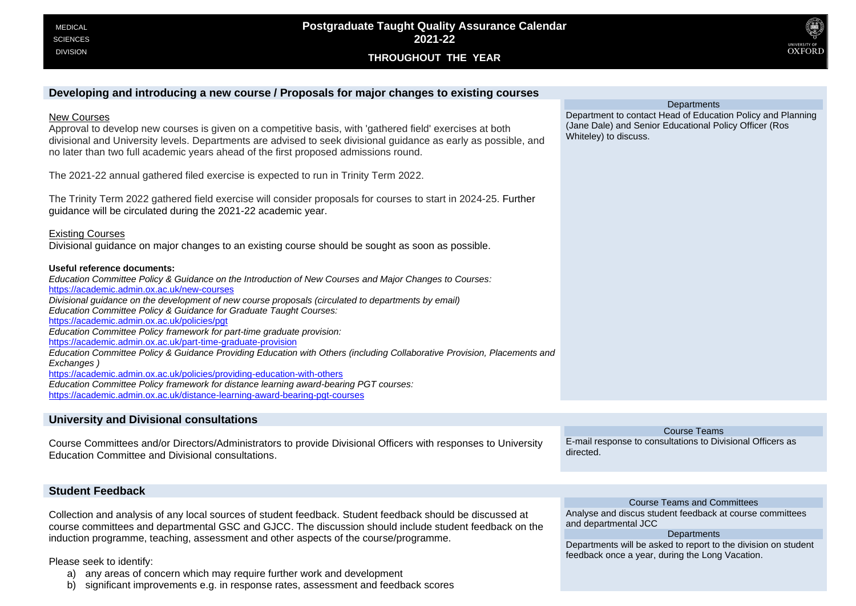**THROUGHOUT THE YEAR**



### **Developing and introducing a new course / Proposals for major changes to existing courses**

#### New Courses

Approval to develop new courses is given on a competitive basis, with 'gathered field' exercises at both divisional and University levels. Departments are advised to seek divisional guidance as early as possible, and no later than two full academic years ahead of the first proposed admissions round.

The 2021-22 annual gathered filed exercise is expected to run in Trinity Term 2022.

The Trinity Term 2022 gathered field exercise will consider proposals for courses to start in 2024-25. Further guidance will be circulated during the 2021-22 academic year.

Existing Courses

Divisional guidance on major changes to an existing course should be sought as soon as possible.

#### **Useful reference documents:**

*Education Committee Policy & Guidance on the Introduction of New Courses and Major Changes to Courses:*  <https://academic.admin.ox.ac.uk/new-courses> *Divisional guidance on the development of new course proposals (circulated to departments by email) Education Committee Policy & Guidance for Graduate Taught Courses:*  <https://academic.admin.ox.ac.uk/policies/pgt> *Education Committee Policy framework for part-time graduate provision:*  <https://academic.admin.ox.ac.uk/part-time-graduate-provision> *Education Committee Policy & Guidance Providing Education with Others (including Collaborative Provision, Placements and Exchanges )*  <https://academic.admin.ox.ac.uk/policies/providing-education-with-others> *Education Committee Policy framework for distance learning award-bearing PGT courses:*  <https://academic.admin.ox.ac.uk/distance-learning-award-bearing-pgt-courses>

### **University and Divisional consultations**

Course Committees and/or Directors/Administrators to provide Divisional Officers with responses to University Education Committee and Divisional consultations.

Course Teams E-mail response to consultations to Divisional Officers as directed.

and departmental JCC

Course Teams and Committees Analyse and discus student feedback at course committees

**Departments** Departments will be asked to report to the division on student

feedback once a year, during the Long Vacation.

### **Student Feedback**

Collection and analysis of any local sources of student feedback. Student feedback should be discussed at course committees and departmental GSC and GJCC. The discussion should include student feedback on the induction programme, teaching, assessment and other aspects of the course/programme.

Please seek to identify:

a) any areas of concern which may require further work and development

b) significant improvements e.g. in response rates, assessment and feedback scores

**Departments** 

Department to contact Head of Education Policy and Planning (Jane Dale) and Senior Educational Policy Officer (Ros Whiteley) to discuss.